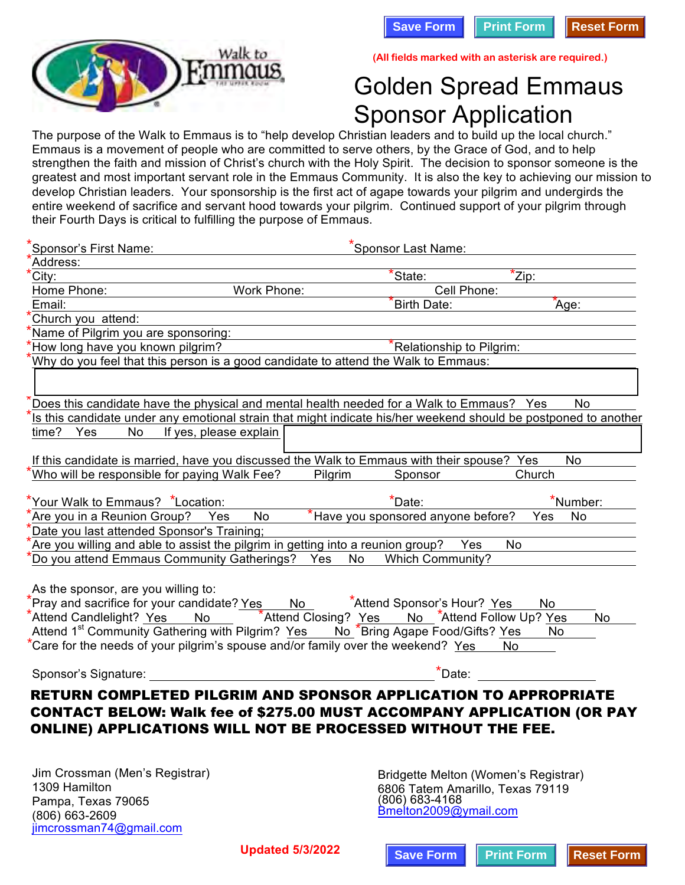



**All fields marked with an asterisk are required.**

## Golden Spread Emmaus Sponsor Application

| waik to                                                                                                       | (All fields marked with an asterisk are required.)                                                               |
|---------------------------------------------------------------------------------------------------------------|------------------------------------------------------------------------------------------------------------------|
|                                                                                                               | <b>Golden Spread Emmaus</b>                                                                                      |
|                                                                                                               | <b>Sponsor Application</b>                                                                                       |
|                                                                                                               | The purpose of the Walk to Emmaus is to "help develop Christian leaders and to build up the local church."       |
|                                                                                                               | Emmaus is a movement of people who are committed to serve others, by the Grace of God, and to help               |
|                                                                                                               | strengthen the faith and mission of Christ's church with the Holy Spirit. The decision to sponsor someone is the |
|                                                                                                               | greatest and most important servant role in the Emmaus Community. It is also the key to achieving our mission to |
|                                                                                                               | develop Christian leaders. Your sponsorship is the first act of agape towards your pilgrim and undergirds the    |
|                                                                                                               | entire weekend of sacrifice and servant hood towards your pilgrim. Continued support of your pilgrim through     |
| their Fourth Days is critical to fulfilling the purpose of Emmaus.                                            |                                                                                                                  |
|                                                                                                               |                                                                                                                  |
| 'Sponsor's First Name:<br>Address:                                                                            | *Sponsor Last Name:                                                                                              |
| City:                                                                                                         | *Zip:<br>*State:                                                                                                 |
| Home Phone:<br>Work Phone:                                                                                    | Cell Phone:                                                                                                      |
| Email:                                                                                                        | *Age:<br>*Birth Date:                                                                                            |
| Church you attend:                                                                                            |                                                                                                                  |
| Name of Pilgrim you are sponsoring:                                                                           |                                                                                                                  |
| How long have you known pilgrim?                                                                              | *Relationship to Pilgrim:                                                                                        |
| Why do you feel that this person is a good candidate to attend the Walk to Emmaus:                            |                                                                                                                  |
|                                                                                                               |                                                                                                                  |
|                                                                                                               |                                                                                                                  |
| Does this candidate have the physical and mental health needed for a Walk to Emmaus? Yes                      | <b>No</b>                                                                                                        |
| time?<br>Yes<br>No<br>If yes, please explain                                                                  | Is this candidate under any emotional strain that might indicate his/her weekend should be postponed to another  |
|                                                                                                               |                                                                                                                  |
| If this candidate is married, have you discussed the Walk to Emmaus with their spouse? Yes                    | No                                                                                                               |
| Who will be responsible for paying Walk Fee?                                                                  | Church<br>Pilgrim<br>Sponsor                                                                                     |
|                                                                                                               |                                                                                                                  |
| *Your Walk to Emmaus? *Location:                                                                              | $*$ Date:<br>*Number:                                                                                            |
| *Are you in a Reunion Group?<br>No<br>Yes                                                                     | *Have you sponsored anyone before?<br>Yes<br>No                                                                  |
| Date you last attended Sponsor's Training;                                                                    |                                                                                                                  |
| Are you willing and able to assist the pilgrim in getting into a reunion group?                               | Yes<br>No                                                                                                        |
| Do you attend Emmaus Community Gatherings? Yes                                                                | No<br><b>Which Community?</b>                                                                                    |
| As the sponsor, are you willing to:                                                                           |                                                                                                                  |
| *Pray and sacrifice for your candidate? Yes No *Attend Sponsor's Hour? Yes                                    | No                                                                                                               |
|                                                                                                               | *Attend Candlelight? Yes No *Attend Closing? Yes No *Attend Follow Up? Yes<br><b>No</b>                          |
| Attend 1 <sup>st</sup> Community Gathering with Pilgrim? Yes No. <sup>*</sup> Bring Agape Food/Gifts? Yes No. |                                                                                                                  |
| *Care for the needs of your pilgrim's spouse and/or family over the weekend? Yes No                           |                                                                                                                  |
|                                                                                                               |                                                                                                                  |
| Sponsor's Signature: The Sponsor's Signature:                                                                 | $\star$ Date:                                                                                                    |
|                                                                                                               | RETURN COMPLETED PILGRIM AND SPONSOR APPLICATION TO APPROPRIATE                                                  |
|                                                                                                               | CONTACT BELOW: Walk fee of \$275.00 MUST ACCOMPANY APPLICATION (OR PAY                                           |
| ONLINE) APPLICATIONS WILL NOT BE PROCESSED WITHOUT THE FEE.                                                   |                                                                                                                  |
|                                                                                                               |                                                                                                                  |
|                                                                                                               |                                                                                                                  |
| Jim Crossman (Men's Registrar)                                                                                | Bridgette Melton (Women's Registrar)                                                                             |
| 1309 Hamilton                                                                                                 | 6806 Tatem Amarillo, Texas 79119                                                                                 |
| Pampa, Texas 79065                                                                                            | (806) 683-4168                                                                                                   |
| (806) 663-2609                                                                                                | Bmelton2009@ymail.com                                                                                            |
| jimcrossman74@gmail.com                                                                                       |                                                                                                                  |